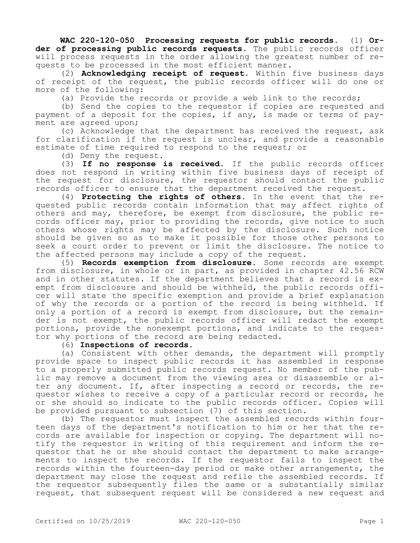**WAC 220-120-050 Processing requests for public records.** (1) **Order of processing public records requests.** The public records officer will process requests in the order allowing the greatest number of requests to be processed in the most efficient manner.

(2) **Acknowledging receipt of request.** Within five business days of receipt of the request, the public records officer will do one or more of the following:

(a) Provide the records or provide a web link to the records;

(b) Send the copies to the requestor if copies are requested and payment of a deposit for the copies, if any, is made or terms of payment are agreed upon;

(c) Acknowledge that the department has received the request, ask for clarification if the request is unclear, and provide a reasonable estimate of time required to respond to the request; or

(d) Deny the request.

(3) **If no response is received.** If the public records officer does not respond in writing within five business days of receipt of the request for disclosure, the requestor should contact the public records officer to ensure that the department received the request.

(4) **Protecting the rights of others.** In the event that the requested public records contain information that may affect rights of others and may, therefore, be exempt from disclosure, the public records officer may, prior to providing the records, give notice to such others whose rights may be affected by the disclosure. Such notice should be given so as to make it possible for those other persons to seek a court order to prevent or limit the disclosure. The notice to the affected persons may include a copy of the request.

(5) **Records exemption from disclosure.** Some records are exempt from disclosure, in whole or in part, as provided in chapter 42.56 RCW and in other statutes. If the department believes that a record is exempt from disclosure and should be withheld, the public records officer will state the specific exemption and provide a brief explanation of why the records or a portion of the record is being withheld. If only a portion of a record is exempt from disclosure, but the remainder is not exempt, the public records officer will redact the exempt portions, provide the nonexempt portions, and indicate to the requestor why portions of the record are being redacted.

## (6) **Inspections of records.**

(a) Consistent with other demands, the department will promptly provide space to inspect public records it has assembled in response to a properly submitted public records request. No member of the public may remove a document from the viewing area or disassemble or alter any document. If, after inspecting a record or records, the requestor wishes to receive a copy of a particular record or records, he or she should so indicate to the public records officer. Copies will be provided pursuant to subsection (7) of this section.

(b) The requestor must inspect the assembled records within fourteen days of the department's notification to him or her that the records are available for inspection or copying. The department will notify the requestor in writing of this requirement and inform the requestor that he or she should contact the department to make arrangements to inspect the records. If the requestor fails to inspect the records within the fourteen-day period or make other arrangements, the department may close the request and refile the assembled records. If the requestor subsequently files the same or a substantially similar request, that subsequent request will be considered a new request and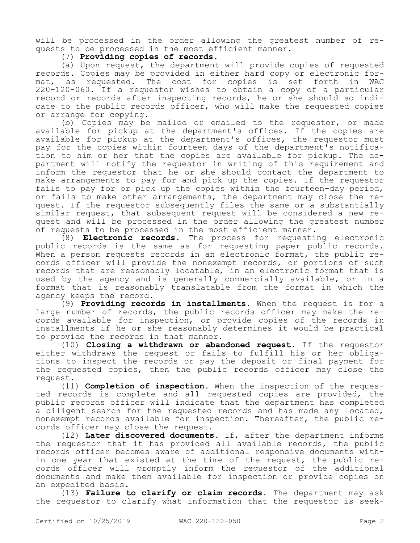will be processed in the order allowing the greatest number of requests to be processed in the most efficient manner.

(7) **Providing copies of records.**

(a) Upon request, the department will provide copies of requested records. Copies may be provided in either hard copy or electronic format, as requested. The cost for copies is set forth in WAC 220-120-060. If a requestor wishes to obtain a copy of a particular record or records after inspecting records, he or she should so indicate to the public records officer, who will make the requested copies or arrange for copying.

(b) Copies may be mailed or emailed to the requestor, or made available for pickup at the department's offices. If the copies are available for pickup at the department's offices, the requestor must pay for the copies within fourteen days of the department's notification to him or her that the copies are available for pickup. The department will notify the requestor in writing of this requirement and inform the requestor that he or she should contact the department to make arrangements to pay for and pick up the copies. If the requestor fails to pay for or pick up the copies within the fourteen-day period, or fails to make other arrangements, the department may close the request. If the requestor subsequently files the same or a substantially similar request, that subsequent request will be considered a new request and will be processed in the order allowing the greatest number of requests to be processed in the most efficient manner.

(8) **Electronic records.** The process for requesting electronic public records is the same as for requesting paper public records. When a person requests records in an electronic format, the public records officer will provide the nonexempt records, or portions of such records that are reasonably locatable, in an electronic format that is used by the agency and is generally commercially available, or in a format that is reasonably translatable from the format in which the agency keeps the record.

(9) **Providing records in installments.** When the request is for a large number of records, the public records officer may make the records available for inspection, or provide copies of the records in installments if he or she reasonably determines it would be practical to provide the records in that manner.

(10) **Closing a withdrawn or abandoned request.** If the requestor either withdraws the request or fails to fulfill his or her obligations to inspect the records or pay the deposit or final payment for the requested copies, then the public records officer may close the request.

(11) **Completion of inspection.** When the inspection of the requested records is complete and all requested copies are provided, the public records officer will indicate that the department has completed a diligent search for the requested records and has made any located, nonexempt records available for inspection. Thereafter, the public records officer may close the request.

(12) **Later discovered documents.** If, after the department informs the requestor that it has provided all available records, the public records officer becomes aware of additional responsive documents within one year that existed at the time of the request, the public records officer will promptly inform the requestor of the additional documents and make them available for inspection or provide copies on an expedited basis.

(13) **Failure to clarify or claim records.** The department may ask the requestor to clarify what information that the requestor is seek